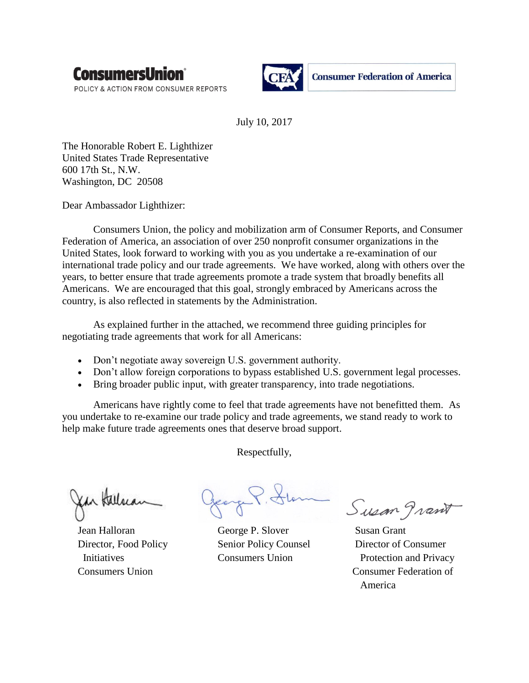

POLICY & ACTION FROM CONSUMER REPORTS



July 10, 2017

The Honorable Robert E. Lighthizer United States Trade Representative 600 17th St., N.W. Washington, DC 20508

Dear Ambassador Lighthizer:

Consumers Union, the policy and mobilization arm of Consumer Reports, and Consumer Federation of America, an association of over 250 nonprofit consumer organizations in the United States, look forward to working with you as you undertake a re-examination of our international trade policy and our trade agreements. We have worked, along with others over the years, to better ensure that trade agreements promote a trade system that broadly benefits all Americans. We are encouraged that this goal, strongly embraced by Americans across the country, is also reflected in statements by the Administration.

As explained further in the attached, we recommend three guiding principles for negotiating trade agreements that work for all Americans:

- Don't negotiate away sovereign U.S. government authority.
- Don't allow foreign corporations to bypass established U.S. government legal processes.
- Bring broader public input, with greater transparency, into trade negotiations.

Americans have rightly come to feel that trade agreements have not benefitted them. As you undertake to re-examine our trade policy and trade agreements, we stand ready to work to help make future trade agreements ones that deserve broad support.

Respectfully,

Jean Halloran George P. Slover Susan Grant

Susan grant

 Director, Food Policy Senior Policy Counsel Director of Consumer Initiatives Consumers Union Protection and Privacy Consumers Union Consumer Federation of America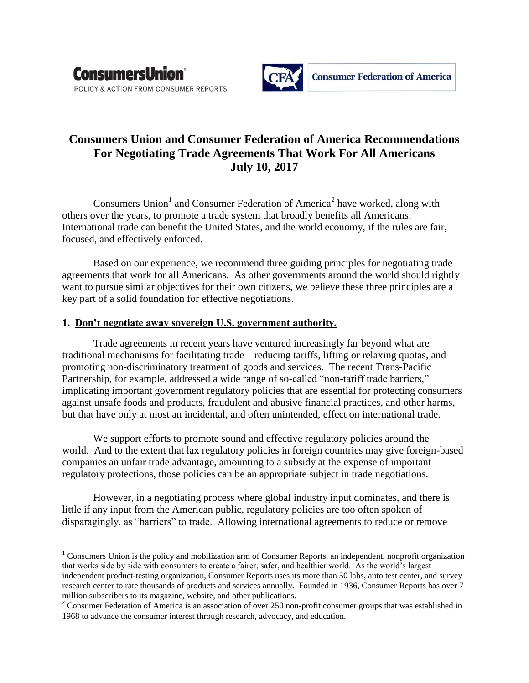

 $\overline{\phantom{a}}$ 



# **Consumers Union and Consumer Federation of America Recommendations For Negotiating Trade Agreements That Work For All Americans July 10, 2017**

Consumers Union<sup>1</sup> and Consumer Federation of America<sup>2</sup> have worked, along with others over the years, to promote a trade system that broadly benefits all Americans. International trade can benefit the United States, and the world economy, if the rules are fair, focused, and effectively enforced.

Based on our experience, we recommend three guiding principles for negotiating trade agreements that work for all Americans. As other governments around the world should rightly want to pursue similar objectives for their own citizens, we believe these three principles are a key part of a solid foundation for effective negotiations.

## **1. Don't negotiate away sovereign U.S. government authority.**

Trade agreements in recent years have ventured increasingly far beyond what are traditional mechanisms for facilitating trade – reducing tariffs, lifting or relaxing quotas, and promoting non-discriminatory treatment of goods and services. The recent Trans-Pacific Partnership, for example, addressed a wide range of so-called "non-tariff trade barriers," implicating important government regulatory policies that are essential for protecting consumers against unsafe foods and products, fraudulent and abusive financial practices, and other harms, but that have only at most an incidental, and often unintended, effect on international trade.

We support efforts to promote sound and effective regulatory policies around the world. And to the extent that lax regulatory policies in foreign countries may give foreign-based companies an unfair trade advantage, amounting to a subsidy at the expense of important regulatory protections, those policies can be an appropriate subject in trade negotiations.

However, in a negotiating process where global industry input dominates, and there is little if any input from the American public, regulatory policies are too often spoken of disparagingly, as "barriers" to trade. Allowing international agreements to reduce or remove

 $1$  Consumers Union is the policy and mobilization arm of Consumer Reports, an independent, nonprofit organization that works side by side with consumers to create a fairer, safer, and healthier world. As the world's largest independent product-testing organization, Consumer Reports uses its more than 50 labs, auto test center, and survey research center to rate thousands of products and services annually. Founded in 1936, Consumer Reports has over 7 million subscribers to its magazine, website, and other publications.

<sup>&</sup>lt;sup>2</sup> Consumer Federation of America is an association of over 250 non-profit consumer groups that was established in 1968 to advance the consumer interest through research, advocacy, and education.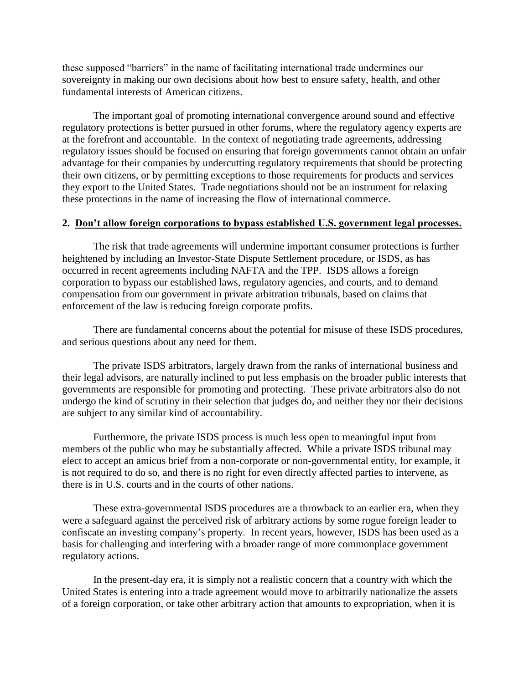these supposed "barriers" in the name of facilitating international trade undermines our sovereignty in making our own decisions about how best to ensure safety, health, and other fundamental interests of American citizens.

The important goal of promoting international convergence around sound and effective regulatory protections is better pursued in other forums, where the regulatory agency experts are at the forefront and accountable. In the context of negotiating trade agreements, addressing regulatory issues should be focused on ensuring that foreign governments cannot obtain an unfair advantage for their companies by undercutting regulatory requirements that should be protecting their own citizens, or by permitting exceptions to those requirements for products and services they export to the United States. Trade negotiations should not be an instrument for relaxing these protections in the name of increasing the flow of international commerce.

## **2. Don't allow foreign corporations to bypass established U.S. government legal processes.**

The risk that trade agreements will undermine important consumer protections is further heightened by including an Investor-State Dispute Settlement procedure, or ISDS, as has occurred in recent agreements including NAFTA and the TPP. ISDS allows a foreign corporation to bypass our established laws, regulatory agencies, and courts, and to demand compensation from our government in private arbitration tribunals, based on claims that enforcement of the law is reducing foreign corporate profits.

There are fundamental concerns about the potential for misuse of these ISDS procedures, and serious questions about any need for them.

The private ISDS arbitrators, largely drawn from the ranks of international business and their legal advisors, are naturally inclined to put less emphasis on the broader public interests that governments are responsible for promoting and protecting. These private arbitrators also do not undergo the kind of scrutiny in their selection that judges do, and neither they nor their decisions are subject to any similar kind of accountability.

Furthermore, the private ISDS process is much less open to meaningful input from members of the public who may be substantially affected. While a private ISDS tribunal may elect to accept an amicus brief from a non-corporate or non-governmental entity, for example, it is not required to do so, and there is no right for even directly affected parties to intervene, as there is in U.S. courts and in the courts of other nations.

These extra-governmental ISDS procedures are a throwback to an earlier era, when they were a safeguard against the perceived risk of arbitrary actions by some rogue foreign leader to confiscate an investing company's property. In recent years, however, ISDS has been used as a basis for challenging and interfering with a broader range of more commonplace government regulatory actions.

In the present-day era, it is simply not a realistic concern that a country with which the United States is entering into a trade agreement would move to arbitrarily nationalize the assets of a foreign corporation, or take other arbitrary action that amounts to expropriation, when it is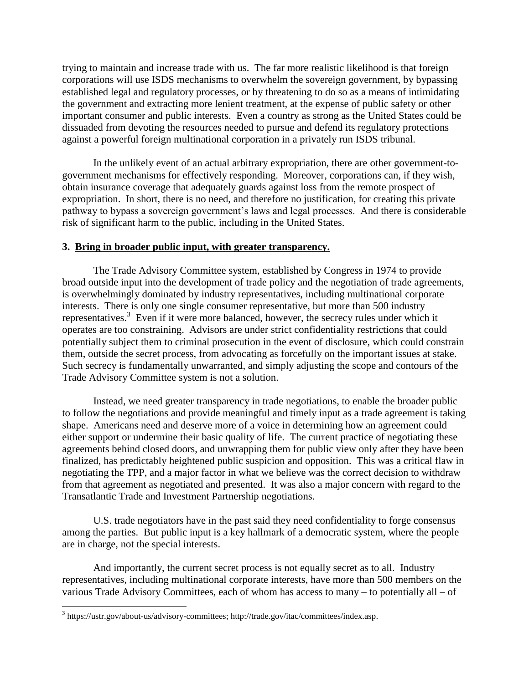trying to maintain and increase trade with us. The far more realistic likelihood is that foreign corporations will use ISDS mechanisms to overwhelm the sovereign government, by bypassing established legal and regulatory processes, or by threatening to do so as a means of intimidating the government and extracting more lenient treatment, at the expense of public safety or other important consumer and public interests. Even a country as strong as the United States could be dissuaded from devoting the resources needed to pursue and defend its regulatory protections against a powerful foreign multinational corporation in a privately run ISDS tribunal.

In the unlikely event of an actual arbitrary expropriation, there are other government-togovernment mechanisms for effectively responding. Moreover, corporations can, if they wish, obtain insurance coverage that adequately guards against loss from the remote prospect of expropriation. In short, there is no need, and therefore no justification, for creating this private pathway to bypass a sovereign government's laws and legal processes. And there is considerable risk of significant harm to the public, including in the United States.

## **3. Bring in broader public input, with greater transparency.**

The Trade Advisory Committee system, established by Congress in 1974 to provide broad outside input into the development of trade policy and the negotiation of trade agreements, is overwhelmingly dominated by industry representatives, including multinational corporate interests. There is only one single consumer representative, but more than 500 industry representatives.<sup>3</sup> Even if it were more balanced, however, the secrecy rules under which it operates are too constraining. Advisors are under strict confidentiality restrictions that could potentially subject them to criminal prosecution in the event of disclosure, which could constrain them, outside the secret process, from advocating as forcefully on the important issues at stake. Such secrecy is fundamentally unwarranted, and simply adjusting the scope and contours of the Trade Advisory Committee system is not a solution.

Instead, we need greater transparency in trade negotiations, to enable the broader public to follow the negotiations and provide meaningful and timely input as a trade agreement is taking shape. Americans need and deserve more of a voice in determining how an agreement could either support or undermine their basic quality of life. The current practice of negotiating these agreements behind closed doors, and unwrapping them for public view only after they have been finalized, has predictably heightened public suspicion and opposition. This was a critical flaw in negotiating the TPP, and a major factor in what we believe was the correct decision to withdraw from that agreement as negotiated and presented. It was also a major concern with regard to the Transatlantic Trade and Investment Partnership negotiations.

U.S. trade negotiators have in the past said they need confidentiality to forge consensus among the parties. But public input is a key hallmark of a democratic system, where the people are in charge, not the special interests.

And importantly, the current secret process is not equally secret as to all. Industry representatives, including multinational corporate interests, have more than 500 members on the various Trade Advisory Committees, each of whom has access to many – to potentially all – of

 $\overline{\phantom{a}}$ 

<sup>&</sup>lt;sup>3</sup> https://ustr.gov/about-us/advisory-committees; http://trade.gov/itac/committees/index.asp.